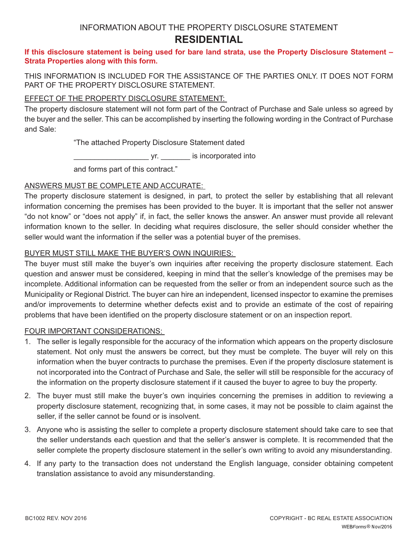# INFORMATION ABOUT THE PROPERTY DISCLOSURE STATEMENT **RESIDENTIAL**

### **If this disclosure statement is being used for bare land strata, use the Property Disclosure Statement – Strata Properties along with this form.**

THIS INFORMATION IS INCLUDED FOR THE ASSISTANCE OF THE PARTIES ONLY. IT DOES NOT FORM PART OF THE PROPERTY DISCLOSURE STATEMENT.

## EFFECT OF THE PROPERTY DISCLOSURE STATEMENT:

The property disclosure statement will not form part of the Contract of Purchase and Sale unless so agreed by the buyer and the seller. This can be accomplished by inserting the following wording in the Contract of Purchase and Sale:

"The attached Property Disclosure Statement dated

\_\_\_\_\_\_\_\_\_\_\_\_\_\_\_\_\_\_ yr. \_\_\_\_\_\_\_ is incorporated into

and forms part of this contract."

## ANSWERS MUST BE COMPLETE AND ACCURATE:

The property disclosure statement is designed, in part, to protect the seller by establishing that all relevant information concerning the premises has been provided to the buyer. It is important that the seller not answer "do not know" or "does not apply" if, in fact, the seller knows the answer. An answer must provide all relevant information known to the seller. In deciding what requires disclosure, the seller should consider whether the seller would want the information if the seller was a potential buyer of the premises.

## BUYER MUST STILL MAKE THE BUYER'S OWN INQUIRIES:

The buyer must still make the buyer's own inquiries after receiving the property disclosure statement. Each question and answer must be considered, keeping in mind that the seller's knowledge of the premises may be incomplete. Additional information can be requested from the seller or from an independent source such as the Municipality or Regional District. The buyer can hire an independent, licensed inspector to examine the premises and/or improvements to determine whether defects exist and to provide an estimate of the cost of repairing problems that have been identified on the property disclosure statement or on an inspection report.

## FOUR IMPORTANT CONSIDERATIONS:

- 1. The seller is legally responsible for the accuracy of the information which appears on the property disclosure statement. Not only must the answers be correct, but they must be complete. The buyer will rely on this information when the buyer contracts to purchase the premises. Even if the property disclosure statement is not incorporated into the Contract of Purchase and Sale, the seller will still be responsible for the accuracy of the information on the property disclosure statement if it caused the buyer to agree to buy the property.
- 2. The buyer must still make the buyer's own inquiries concerning the premises in addition to reviewing a property disclosure statement, recognizing that, in some cases, it may not be possible to claim against the seller, if the seller cannot be found or is insolvent.
- 3. Anyone who is assisting the seller to complete a property disclosure statement should take care to see that the seller understands each question and that the seller's answer is complete. It is recommended that the seller complete the property disclosure statement in the seller's own writing to avoid any misunderstanding.
- 4. If any party to the transaction does not understand the English language, consider obtaining competent translation assistance to avoid any misunderstanding.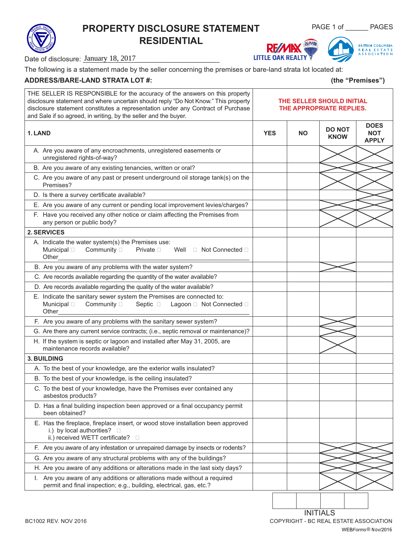# **PROPERTY DISCLOSURE STATEMENT** PAGE 1 of \_\_\_\_\_ PAGES **RESIDENTIAL**



**LITTLE OAK REALTY** 

Date of disclosure: January 18, 2017

The following is a statement made by the seller concerning the premises or bare-land strata lot located at:

### **ADDRESS/BARE-LAND STRATA LOT #: (the "Premises")**

| THE SELLER IS RESPONSIBLE for the accuracy of the answers on this property<br>disclosure statement and where uncertain should reply "Do Not Know." This property<br>disclosure statement constitutes a representation under any Contract of Purchase<br>and Sale if so agreed, in writing, by the seller and the buyer. | THE SELLER SHOULD INITIAL<br>THE APPROPRIATE REPLIES. |           |                              |                                           |
|-------------------------------------------------------------------------------------------------------------------------------------------------------------------------------------------------------------------------------------------------------------------------------------------------------------------------|-------------------------------------------------------|-----------|------------------------------|-------------------------------------------|
| 1. LAND                                                                                                                                                                                                                                                                                                                 | <b>YES</b>                                            | <b>NO</b> | <b>DO NOT</b><br><b>KNOW</b> | <b>DOES</b><br><b>NOT</b><br><b>APPLY</b> |
| A. Are you aware of any encroachments, unregistered easements or<br>unregistered rights-of-way?                                                                                                                                                                                                                         |                                                       |           |                              |                                           |
| B. Are you aware of any existing tenancies, written or oral?                                                                                                                                                                                                                                                            |                                                       |           |                              |                                           |
| C. Are you aware of any past or present underground oil storage tank(s) on the<br>Premises?                                                                                                                                                                                                                             |                                                       |           |                              |                                           |
| D. Is there a survey certificate available?                                                                                                                                                                                                                                                                             |                                                       |           |                              |                                           |
| E. Are you aware of any current or pending local improvement levies/charges?                                                                                                                                                                                                                                            |                                                       |           |                              |                                           |
| F. Have you received any other notice or claim affecting the Premises from<br>any person or public body?                                                                                                                                                                                                                |                                                       |           |                              |                                           |
| 2. SERVICES                                                                                                                                                                                                                                                                                                             |                                                       |           |                              |                                           |
| A. Indicate the water system(s) the Premises use:<br>Community D<br>Private <b>D</b><br>Well<br>□ Not Connected □<br>Municipal $\Box$<br>Other                                                                                                                                                                          |                                                       |           |                              |                                           |
| B. Are you aware of any problems with the water system?                                                                                                                                                                                                                                                                 |                                                       |           |                              |                                           |
| C. Are records available regarding the quantity of the water available?                                                                                                                                                                                                                                                 |                                                       |           |                              |                                           |
| D. Are records available regarding the quality of the water available?                                                                                                                                                                                                                                                  |                                                       |           |                              |                                           |
| E. Indicate the sanitary sewer system the Premises are connected to:<br>Community D<br>Septic □ Lagoon □ Not Connected □<br>Municipal $\Box$<br>Other                                                                                                                                                                   |                                                       |           |                              |                                           |
| F. Are you aware of any problems with the sanitary sewer system?                                                                                                                                                                                                                                                        |                                                       |           |                              |                                           |
| G. Are there any current service contracts; (i.e., septic removal or maintenance)?                                                                                                                                                                                                                                      |                                                       |           |                              |                                           |
| H. If the system is septic or lagoon and installed after May 31, 2005, are<br>maintenance records available?                                                                                                                                                                                                            |                                                       |           |                              |                                           |
| <b>3. BUILDING</b>                                                                                                                                                                                                                                                                                                      |                                                       |           |                              |                                           |
| A. To the best of your knowledge, are the exterior walls insulated?                                                                                                                                                                                                                                                     |                                                       |           |                              |                                           |
| B. To the best of your knowledge, is the ceiling insulated?                                                                                                                                                                                                                                                             |                                                       |           |                              |                                           |
| C. To the best of your knowledge, have the Premises ever contained any<br>asbestos products?                                                                                                                                                                                                                            |                                                       |           |                              |                                           |
| D. Has a final building inspection been approved or a final occupancy permit<br>been obtained?                                                                                                                                                                                                                          |                                                       |           |                              |                                           |
| E. Has the fireplace, fireplace insert, or wood stove installation been approved<br>i.) by local authorities? $\square$<br>ii.) received WETT certificate?<br>$\Box$                                                                                                                                                    |                                                       |           |                              |                                           |
| F. Are you aware of any infestation or unrepaired damage by insects or rodents?                                                                                                                                                                                                                                         |                                                       |           |                              |                                           |
| G. Are you aware of any structural problems with any of the buildings?                                                                                                                                                                                                                                                  |                                                       |           |                              |                                           |
| H. Are you aware of any additions or alterations made in the last sixty days?                                                                                                                                                                                                                                           |                                                       |           |                              |                                           |
| I. Are you aware of any additions or alterations made without a required<br>permit and final inspection; e.g., building, electrical, gas, etc.?                                                                                                                                                                         |                                                       |           |                              |                                           |
|                                                                                                                                                                                                                                                                                                                         |                                                       |           |                              |                                           |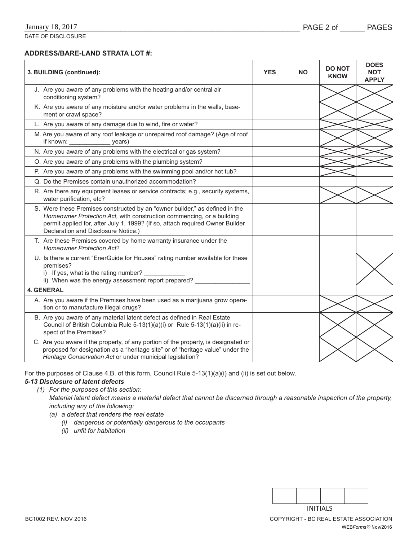### **ADDRESS/BARE-LAND STRATA LOT #:**

| 3. BUILDING (continued):                                                                                                                                                                                                                                                     | <b>YES</b> | <b>NO</b> | <b>DO NOT</b><br><b>KNOW</b> | <b>DOES</b><br><b>NOT</b><br><b>APPLY</b> |
|------------------------------------------------------------------------------------------------------------------------------------------------------------------------------------------------------------------------------------------------------------------------------|------------|-----------|------------------------------|-------------------------------------------|
| J. Are you aware of any problems with the heating and/or central air<br>conditioning system?                                                                                                                                                                                 |            |           |                              |                                           |
| K. Are you aware of any moisture and/or water problems in the walls, base-<br>ment or crawl space?                                                                                                                                                                           |            |           |                              |                                           |
| L. Are you aware of any damage due to wind, fire or water?                                                                                                                                                                                                                   |            |           |                              |                                           |
| M. Are you aware of any roof leakage or unrepaired roof damage? (Age of roof<br>if known: _________________ years)                                                                                                                                                           |            |           |                              |                                           |
| N. Are you aware of any problems with the electrical or gas system?                                                                                                                                                                                                          |            |           |                              |                                           |
| O. Are you aware of any problems with the plumbing system?                                                                                                                                                                                                                   |            |           |                              |                                           |
| P. Are you aware of any problems with the swimming pool and/or hot tub?                                                                                                                                                                                                      |            |           |                              |                                           |
| Q. Do the Premises contain unauthorized accommodation?                                                                                                                                                                                                                       |            |           |                              |                                           |
| R. Are there any equipment leases or service contracts; e.g., security systems,<br>water purification, etc?                                                                                                                                                                  |            |           |                              |                                           |
| S. Were these Premises constructed by an "owner builder," as defined in the<br>Homeowner Protection Act, with construction commencing, or a building<br>permit applied for, after July 1, 1999? (If so, attach required Owner Builder<br>Declaration and Disclosure Notice.) |            |           |                              |                                           |
| T. Are these Premises covered by home warranty insurance under the<br><b>Homeowner Protection Act?</b>                                                                                                                                                                       |            |           |                              |                                           |
| U. Is there a current "EnerGuide for Houses" rating number available for these<br>premises?<br>i) If yes, what is the rating number?<br>ii) When was the energy assessment report prepared?                                                                                  |            |           |                              |                                           |
| <b>4. GENERAL</b>                                                                                                                                                                                                                                                            |            |           |                              |                                           |
| A. Are you aware if the Premises have been used as a marijuana grow opera-<br>tion or to manufacture illegal drugs?                                                                                                                                                          |            |           |                              |                                           |
| B. Are you aware of any material latent defect as defined in Real Estate<br>Council of British Columbia Rule 5-13(1)(a)(i) or Rule 5-13(1)(a)(ii) in re-<br>spect of the Premises?                                                                                           |            |           |                              |                                           |
| C. Are you aware if the property, of any portion of the property, is designated or<br>proposed for designation as a "heritage site" or of "heritage value" under the<br>Heritage Conservation Act or under municipal legislation?                                            |            |           |                              |                                           |

For the purposes of Clause 4.B. of this form, Council Rule 5-13(1)(a)(i) and (ii) is set out below.

## *5-13 Disclosure of latent defects*

*(1) For the purposes of this section: Material latent defect means a material defect that cannot be discerned through a reasonable inspection of the property, including any of the following:*

- *(a) a defect that renders the real estate*
	- *(i) dangerous or potentially dangerous to the occupants*
	- *(ii)* unfit for habitation